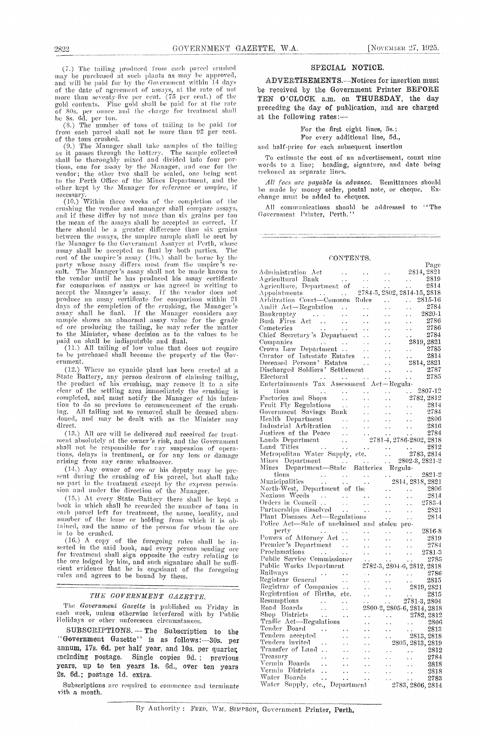(7.) The tailing produced from each parcel crushed ( $\epsilon$ ) are cannog proudced trom each part errested<br>and will be paid for by the Government within 14 days<br>of the date of agreement of assays, at the rate of not<br>more than seventy-five per cent. (75 per cent.) of the<br>gold c of 80s. per ounce and the charge for treatment shall be 8s. 6d. per ton.

of (8.) The number of tons of tailing to be paid for<br>from each parcel shall not be more than 92 per cent.<br>of the tons crushed.<br>(9.) The Manager shall take samples of the tailing

(9.) The manager shall take samples of the talling<br>as it passes through the battery. The sample collected<br>shall be thoroughly mixed and divided into four por-<br>tions, one for assay by the Manager, and one for the<br>vendor; th other kept by the Manager for reference or umpire, if

necessary.<br>
(10.) Within three weeks of the completion of the<br>
(10.) Within three weeks of the compare assays, erushing the vendor and manager shall compare assays, and if these differ by not more than six grains per ton the mean of the assays shall be accepted as correct. If the mean of the assays shall be accepted as correct. If<br>there should be a greater difference than six grains<br>between the assays, the umpire sample slall be seat by<br>the Manager to the Government Assayer at Perth, whose<br>assa star. The mainter a sissay such the vendor until he has produced his assay certificate<br>for comparison of assays or has agreed in writing to<br>accept the Manager's assay. If the vendor does not<br>produce an assay certificate fo days of the completion of the cushing, the Manager's<br>assay shall be final. If the Manager considers any sample shows an abnormal assay value for the grade of ore producing the tailing, he may refer the matter<br>to the Minister, whose decision as to the values to be<br>paid on shall be indisputable and final.<br>(11.) All tailing of low value that does not require

to be purchased shall become the property of the Government.

(12.) Where no cyanide plant has been erected at a State Battery, any person desirous of claiming tailing, the product of his crushing, may remove it to a site the product of this crushing, may remove it to a site<br>clear of the settling area immediately the crushing is<br>completed, and must notify the Manager of his inter-<br>tion to do so previous to commencement of the crush-<br>ing. Al direct.

(13.) All ore will be delivered and received for treatment absolutely at the owner's risk, and the Government shall not be responsible for any suspension of operations, delays in treatment, or for any loss or damage arising from any cause whatsoever.

(14.) Any owner of ore or his deputy may be present during the crushing of his parcel, but shall take no part in the treatment except by the express permission and under the direction of the Manager.

(15.) At every State Battery there shall be kept a<br>book in which shall be recorded the number of tons in each parcel left for treatment, the name, locality, and<br>number of the lease or holding from which it is obtained, and the name of the person for whom the ore is to be crushed.

<sup>18</sup> to be crushed.<br>
(16.) A copy of the foregoing rules shall be in-<br>
seried in the said book, and every person sending ore<br>
for treatment shall sign opposite the entry relating to<br>
the ore lodged by him, and such signatu rules and agrees to be bound by them.

### THE GOVERNMENT GAZETTE.

The Government Gazette is published on Friday in each week, unless otherwise interfered with by Public Holidays or other unforeseen circumstances.

SUBSCRIPTIONS. - The Subscription to the<br>
"Government Gazette'' is as follows: --30s. per annum, 17s. 6d. per half year, and 10s. per quarter, including postage. Single copies 9d.; previous years, up to ten years 1s. 6d., over ten years 2s. 6d.; postage 1d. extra.

Subscriptions are required to commence and terminate vith a month.

#### SPECIAL NOTICE.

ADVERTISEMENTS.--Notices for insertion must be received by the Government Printer BEFORE TEN O'CLOCK a.m. on THURSDAY, the day preceding the day of publication, and are charged at the following rates:

#### For the first eight lines, 5s.;

For every additional line, 5d.,

and half-price for each subsequent insertion

To estimate the cost of an advertisement, count nine words to a line; heading, signature, and date being reckoned as separate lines

All fees are payable in advance. Remittances should be made by money order, postal note, or cheque.<br>change must be added to cheques. Ex-

All communications should be addressed to "The Government Printer, Perth."

#### CONTENTS.

|                                                                                                                                                                                                                                                                                                                                                                                                                                                                  |                                                                                                                            | rage                                                                                                                                                                                                                                                                                                                                                                                                                                |
|------------------------------------------------------------------------------------------------------------------------------------------------------------------------------------------------------------------------------------------------------------------------------------------------------------------------------------------------------------------------------------------------------------------------------------------------------------------|----------------------------------------------------------------------------------------------------------------------------|-------------------------------------------------------------------------------------------------------------------------------------------------------------------------------------------------------------------------------------------------------------------------------------------------------------------------------------------------------------------------------------------------------------------------------------|
| Administration Act                                                                                                                                                                                                                                                                                                                                                                                                                                               | $\sigma_{\rm{eff}}$ .                                                                                                      | 2814, 2821                                                                                                                                                                                                                                                                                                                                                                                                                          |
| Agricultural Bank<br>Agricultural Bank<br>Appointments<br>Appointments<br>Arbitration Court—Common Rules<br>Arbitration Court—Common Rules<br>Arbitration Court—Common Rules<br>Arbitration Court—Common Rules<br>Arbitration Court—Common Rul                                                                                                                                                                                                                   |                                                                                                                            | $\frac{2814}{2814}$                                                                                                                                                                                                                                                                                                                                                                                                                 |
|                                                                                                                                                                                                                                                                                                                                                                                                                                                                  |                                                                                                                            |                                                                                                                                                                                                                                                                                                                                                                                                                                     |
|                                                                                                                                                                                                                                                                                                                                                                                                                                                                  |                                                                                                                            |                                                                                                                                                                                                                                                                                                                                                                                                                                     |
|                                                                                                                                                                                                                                                                                                                                                                                                                                                                  | $\langle \cdot \rangle$                                                                                                    |                                                                                                                                                                                                                                                                                                                                                                                                                                     |
| Audit Act-Regulation                                                                                                                                                                                                                                                                                                                                                                                                                                             |                                                                                                                            | 2784                                                                                                                                                                                                                                                                                                                                                                                                                                |
| Bankruptcy<br>Bush Fires Act<br>$\mathbf{r}$ .                                                                                                                                                                                                                                                                                                                                                                                                                   |                                                                                                                            | 2820-1                                                                                                                                                                                                                                                                                                                                                                                                                              |
| $\epsilon$ .                                                                                                                                                                                                                                                                                                                                                                                                                                                     |                                                                                                                            | 2786                                                                                                                                                                                                                                                                                                                                                                                                                                |
| Cemeteries<br>$\sim$ $\sim$                                                                                                                                                                                                                                                                                                                                                                                                                                      | $\frac{1}{2}$<br>$\ddot{\phantom{0}}$                                                                                      | 2786                                                                                                                                                                                                                                                                                                                                                                                                                                |
| Chief Secretary's Department<br>Companies<br>Crown Law Department<br>Curator of Intestate Estates<br>There of Persons' Estates                                                                                                                                                                                                                                                                                                                                   | $\sim 10^{-1}$                                                                                                             | $\frac{1}{2}$<br>2784                                                                                                                                                                                                                                                                                                                                                                                                               |
|                                                                                                                                                                                                                                                                                                                                                                                                                                                                  | $\mathcal{A}(\mathbf{r})$                                                                                                  | 2819, 2821                                                                                                                                                                                                                                                                                                                                                                                                                          |
|                                                                                                                                                                                                                                                                                                                                                                                                                                                                  |                                                                                                                            | 2785                                                                                                                                                                                                                                                                                                                                                                                                                                |
|                                                                                                                                                                                                                                                                                                                                                                                                                                                                  | $\begin{array}{l} \mathbf{v}(\mathbf{x}) \\ \mathbf{v}(\mathbf{x}) \end{array}$                                            | $\frac{1}{1 + \frac{1}{1 + \frac{1}{1 + \frac{1}{1 + \frac{1}{1 + \frac{1}{1 + \frac{1}{1 + \frac{1}{1 + \frac{1}{1 + \frac{1}{1 + \frac{1}{1 + \frac{1}{1 + \frac{1}{1 + \frac{1}{1 + \frac{1}{1 + \frac{1}{1 + \frac{1}{1 + \frac{1}{1 + \frac{1}{1 + \frac{1}{1 + \frac{1}{1 + \frac{1}{1 + \frac{1}{1 + \frac{1}{1 + \frac{1}{1 + \frac{1}{1 + \frac{1}{1 + \frac{1}{1 + \frac{1}{1 + \frac{1}{1 + \frac{1}{1 + \frac{$<br>2814 |
|                                                                                                                                                                                                                                                                                                                                                                                                                                                                  | M.                                                                                                                         | 2814, 2821                                                                                                                                                                                                                                                                                                                                                                                                                          |
| Discharged Soldiers' Settlement                                                                                                                                                                                                                                                                                                                                                                                                                                  |                                                                                                                            | 2787<br>$\frac{1}{2}$                                                                                                                                                                                                                                                                                                                                                                                                               |
| Electoral                                                                                                                                                                                                                                                                                                                                                                                                                                                        | and a state of the                                                                                                         | 2785                                                                                                                                                                                                                                                                                                                                                                                                                                |
| $\sim 10^{-1}$<br>Entertainments Tax Assessment Act-Regula-                                                                                                                                                                                                                                                                                                                                                                                                      |                                                                                                                            |                                                                                                                                                                                                                                                                                                                                                                                                                                     |
| tions<br>$\sim 10^{-1}$                                                                                                                                                                                                                                                                                                                                                                                                                                          |                                                                                                                            | $\ldots$ 2807-12                                                                                                                                                                                                                                                                                                                                                                                                                    |
|                                                                                                                                                                                                                                                                                                                                                                                                                                                                  | $\frac{1}{\sqrt{2}}\frac{1}{\sqrt{2}}\left(\frac{1}{\sqrt{2}}\right)^2\left(\frac{1}{\sqrt{2}}\right)^2.$<br>$\frac{1}{2}$ | 2782, 2812                                                                                                                                                                                                                                                                                                                                                                                                                          |
| Factories and Shops<br>Fruit Fly Regulations                                                                                                                                                                                                                                                                                                                                                                                                                     |                                                                                                                            |                                                                                                                                                                                                                                                                                                                                                                                                                                     |
|                                                                                                                                                                                                                                                                                                                                                                                                                                                                  |                                                                                                                            |                                                                                                                                                                                                                                                                                                                                                                                                                                     |
|                                                                                                                                                                                                                                                                                                                                                                                                                                                                  |                                                                                                                            |                                                                                                                                                                                                                                                                                                                                                                                                                                     |
|                                                                                                                                                                                                                                                                                                                                                                                                                                                                  |                                                                                                                            |                                                                                                                                                                                                                                                                                                                                                                                                                                     |
| overnment Savings Bank<br>Health Department<br>Health Department<br>Industrial Arbitration<br>Justices of the Peace<br>Lands Department<br>Lands Department<br>Land Titles<br>Metropolitan Water Sumply<br>Minor Theory<br>Minor Terminal Metropol                                                                                                                                                                                                               |                                                                                                                            |                                                                                                                                                                                                                                                                                                                                                                                                                                     |
|                                                                                                                                                                                                                                                                                                                                                                                                                                                                  |                                                                                                                            |                                                                                                                                                                                                                                                                                                                                                                                                                                     |
|                                                                                                                                                                                                                                                                                                                                                                                                                                                                  |                                                                                                                            |                                                                                                                                                                                                                                                                                                                                                                                                                                     |
|                                                                                                                                                                                                                                                                                                                                                                                                                                                                  |                                                                                                                            |                                                                                                                                                                                                                                                                                                                                                                                                                                     |
|                                                                                                                                                                                                                                                                                                                                                                                                                                                                  |                                                                                                                            |                                                                                                                                                                                                                                                                                                                                                                                                                                     |
|                                                                                                                                                                                                                                                                                                                                                                                                                                                                  |                                                                                                                            |                                                                                                                                                                                                                                                                                                                                                                                                                                     |
|                                                                                                                                                                                                                                                                                                                                                                                                                                                                  |                                                                                                                            |                                                                                                                                                                                                                                                                                                                                                                                                                                     |
| Municipalities<br>North-West, Department of the                                                                                                                                                                                                                                                                                                                                                                                                                  |                                                                                                                            | 2821-2                                                                                                                                                                                                                                                                                                                                                                                                                              |
|                                                                                                                                                                                                                                                                                                                                                                                                                                                                  |                                                                                                                            | 2814, 2818, 2821                                                                                                                                                                                                                                                                                                                                                                                                                    |
|                                                                                                                                                                                                                                                                                                                                                                                                                                                                  |                                                                                                                            |                                                                                                                                                                                                                                                                                                                                                                                                                                     |
|                                                                                                                                                                                                                                                                                                                                                                                                                                                                  |                                                                                                                            | $\frac{200}{1000}$<br>$\frac{2814}{1000}$                                                                                                                                                                                                                                                                                                                                                                                           |
|                                                                                                                                                                                                                                                                                                                                                                                                                                                                  |                                                                                                                            | $\mathbb{R}^{n+1}$<br>2783-4                                                                                                                                                                                                                                                                                                                                                                                                        |
|                                                                                                                                                                                                                                                                                                                                                                                                                                                                  |                                                                                                                            | -2821                                                                                                                                                                                                                                                                                                                                                                                                                               |
|                                                                                                                                                                                                                                                                                                                                                                                                                                                                  |                                                                                                                            | - 2814                                                                                                                                                                                                                                                                                                                                                                                                                              |
| Nozious Weeds<br>Orders in Council<br>Orders in Council<br>Dartnerships dissolved<br>Plant Diseases Act—Regulations<br>Police Act—Sale of unclaimed and stolen pro-                                                                                                                                                                                                                                                                                              |                                                                                                                            |                                                                                                                                                                                                                                                                                                                                                                                                                                     |
| perty                                                                                                                                                                                                                                                                                                                                                                                                                                                            | $\sim$ $\sim$                                                                                                              | 2816-8                                                                                                                                                                                                                                                                                                                                                                                                                              |
|                                                                                                                                                                                                                                                                                                                                                                                                                                                                  | $\mathcal{L}_{\mathcal{F}}$                                                                                                | 2819<br>$\sim$ $\sim$                                                                                                                                                                                                                                                                                                                                                                                                               |
|                                                                                                                                                                                                                                                                                                                                                                                                                                                                  | $\mathbf{z}$ , $\mathbf{z}$ , $\mathbf{z}$                                                                                 | 2784                                                                                                                                                                                                                                                                                                                                                                                                                                |
|                                                                                                                                                                                                                                                                                                                                                                                                                                                                  | $\begin{array}{c} \bullet \ \bullet \\ \bullet \ \bullet \end{array}$                                                      | 2781-3                                                                                                                                                                                                                                                                                                                                                                                                                              |
|                                                                                                                                                                                                                                                                                                                                                                                                                                                                  |                                                                                                                            | 2785                                                                                                                                                                                                                                                                                                                                                                                                                                |
| Powers of Attorney Act<br>Powers of Attorney Act<br>Premier's Department<br>Proclamations<br>Public Service Commissioner<br>Public Works Department<br>Public Works Department                                                                                                                                                                                                                                                                                   |                                                                                                                            | 2782-3, 2804-6, 2812, 2818                                                                                                                                                                                                                                                                                                                                                                                                          |
| Railways                                                                                                                                                                                                                                                                                                                                                                                                                                                         |                                                                                                                            |                                                                                                                                                                                                                                                                                                                                                                                                                                     |
| Registrar General<br>$\ddot{\phantom{1}}$                                                                                                                                                                                                                                                                                                                                                                                                                        |                                                                                                                            | $\begin{array}{ccc} \dots & \dots & \frac{2786}{2815} \ \dots & \dots & \frac{2815}{2819}, \frac{2821}{2821} \end{array}$                                                                                                                                                                                                                                                                                                           |
| Registrar of Companies                                                                                                                                                                                                                                                                                                                                                                                                                                           |                                                                                                                            |                                                                                                                                                                                                                                                                                                                                                                                                                                     |
| Registration of Births, etc.                                                                                                                                                                                                                                                                                                                                                                                                                                     |                                                                                                                            |                                                                                                                                                                                                                                                                                                                                                                                                                                     |
| Resumptions                                                                                                                                                                                                                                                                                                                                                                                                                                                      | $\frac{1}{100}$                                                                                                            | $\begin{array}{cc}\n 0.15 \\  -2781-3,2804\n \end{array}$                                                                                                                                                                                                                                                                                                                                                                           |
| Resumptions<br>Road Boards<br>Shop Districts<br>$\ddotsc$                                                                                                                                                                                                                                                                                                                                                                                                        | $\epsilon$ .                                                                                                               | 2800-2, 2805-6, 2814, 2818                                                                                                                                                                                                                                                                                                                                                                                                          |
| $\ddot{\phantom{0}}$                                                                                                                                                                                                                                                                                                                                                                                                                                             |                                                                                                                            |                                                                                                                                                                                                                                                                                                                                                                                                                                     |
| $\ddot{\phantom{0}}$                                                                                                                                                                                                                                                                                                                                                                                                                                             |                                                                                                                            | $\begin{array}{r} 2555, 2514, 2512 \ \ldots \ \ 2782, 2812 \ \ldots \ \ 2813 \ \ldots \ \ 2813, 2818 \end{array}$                                                                                                                                                                                                                                                                                                                   |
| Traffic Act—Regulations                                                                                                                                                                                                                                                                                                                                                                                                                                          |                                                                                                                            |                                                                                                                                                                                                                                                                                                                                                                                                                                     |
| Tender Board                                                                                                                                                                                                                                                                                                                                                                                                                                                     | $\frac{1}{1}$                                                                                                              |                                                                                                                                                                                                                                                                                                                                                                                                                                     |
| Tenders accepted                                                                                                                                                                                                                                                                                                                                                                                                                                                 |                                                                                                                            |                                                                                                                                                                                                                                                                                                                                                                                                                                     |
| Tenders invited                                                                                                                                                                                                                                                                                                                                                                                                                                                  |                                                                                                                            |                                                                                                                                                                                                                                                                                                                                                                                                                                     |
|                                                                                                                                                                                                                                                                                                                                                                                                                                                                  |                                                                                                                            | 2805, 2813, 2819                                                                                                                                                                                                                                                                                                                                                                                                                    |
| Tenders invited<br>Transfer of Land                                                                                                                                                                                                                                                                                                                                                                                                                              |                                                                                                                            | 2812<br>$\sim 10^{-11}$                                                                                                                                                                                                                                                                                                                                                                                                             |
| $\begin{array}{c} \begin{array}{c} \mathbf{1} \\ \mathbf{2} \\ \mathbf{3} \\ \mathbf{4} \\ \mathbf{5} \\ \mathbf{5} \\ \mathbf{6} \\ \mathbf{7} \\ \mathbf{8} \\ \mathbf{9} \\ \mathbf{10} \\ \mathbf{11} \\ \mathbf{12} \\ \mathbf{13} \\ \mathbf{14} \\ \mathbf{15} \\ \mathbf{16} \\ \mathbf{17} \\ \mathbf{18} \\ \mathbf{19} \\ \mathbf{10} \\ \mathbf{11} \\ \mathbf{12} \\ \mathbf{13} \\ \mathbf{14} \\ \mathbf{15} \\ \mathbf{16} \\$<br>Treasury<br>L. |                                                                                                                            | $\sim 10$<br>2784                                                                                                                                                                                                                                                                                                                                                                                                                   |
|                                                                                                                                                                                                                                                                                                                                                                                                                                                                  |                                                                                                                            | 2818<br>$\sim$ $\sim$                                                                                                                                                                                                                                                                                                                                                                                                               |
|                                                                                                                                                                                                                                                                                                                                                                                                                                                                  |                                                                                                                            |                                                                                                                                                                                                                                                                                                                                                                                                                                     |
| Treasury<br>Vermin Boards<br>Vermin Districts<br>The Deards                                                                                                                                                                                                                                                                                                                                                                                                      |                                                                                                                            | $\frac{1}{2}$                                                                                                                                                                                                                                                                                                                                                                                                                       |
| Vermin Districts<br>Water Boards<br>Water Supply, etc., Department 2783, 2806, 2814                                                                                                                                                                                                                                                                                                                                                                              |                                                                                                                            |                                                                                                                                                                                                                                                                                                                                                                                                                                     |

By Authority: FRED. WM. SIMPSON, Government Printer, Perth.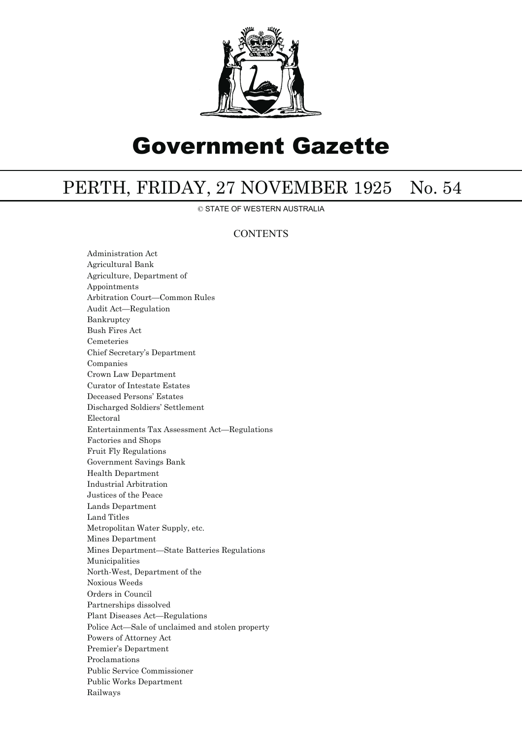

# Government Gazette

## PERTH, FRIDAY, 27 NOVEMBER 1925 No. 54

© STATE OF WESTERN AUSTRALIA

## **CONTENTS**

Administration Act Agricultural Bank Agriculture, Department of Appointments Arbitration Court—Common Rules Audit Act—Regulation Bankruptcy Bush Fires Act Cemeteries Chief Secretary's Department Companies Crown Law Department Curator of Intestate Estates Deceased Persons' Estates Discharged Soldiers' Settlement Electoral Entertainments Tax Assessment Act—Regulations Factories and Shops Fruit Fly Regulations Government Savings Bank Health Department Industrial Arbitration Justices of the Peace Lands Department Land Titles Metropolitan Water Supply, etc. Mines Department Mines Department—State Batteries Regulations Municipalities North-West, Department of the Noxious Weeds Orders in Council Partnerships dissolved Plant Diseases Act—Regulations Police Act—Sale of unclaimed and stolen property Powers of Attorney Act Premier's Department Proclamations Public Service Commissioner Public Works Department Railways